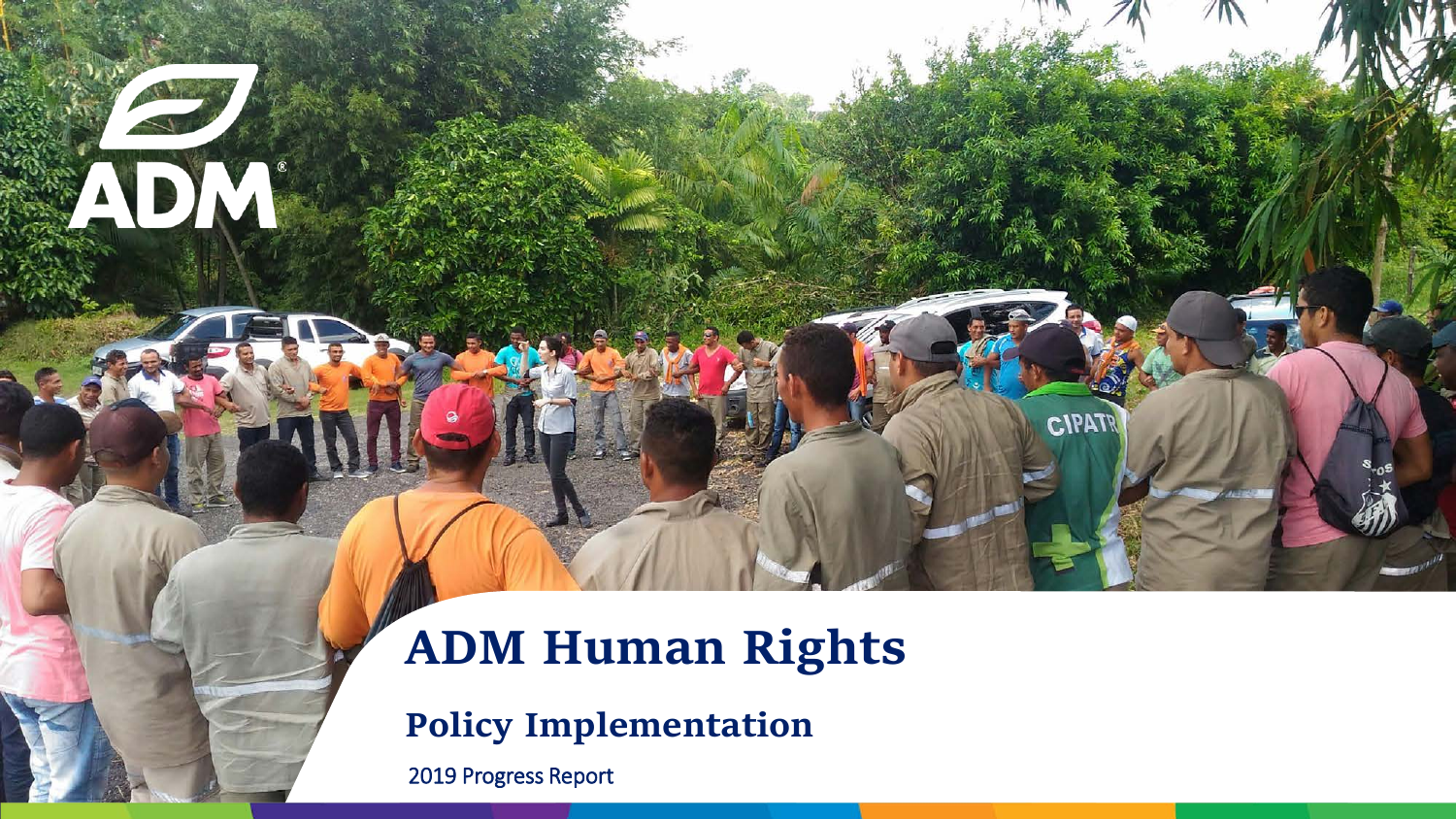### **ADM Human Rights**

**CIPATR** 

**Policy Implementation**

2019 Progress Report

ADM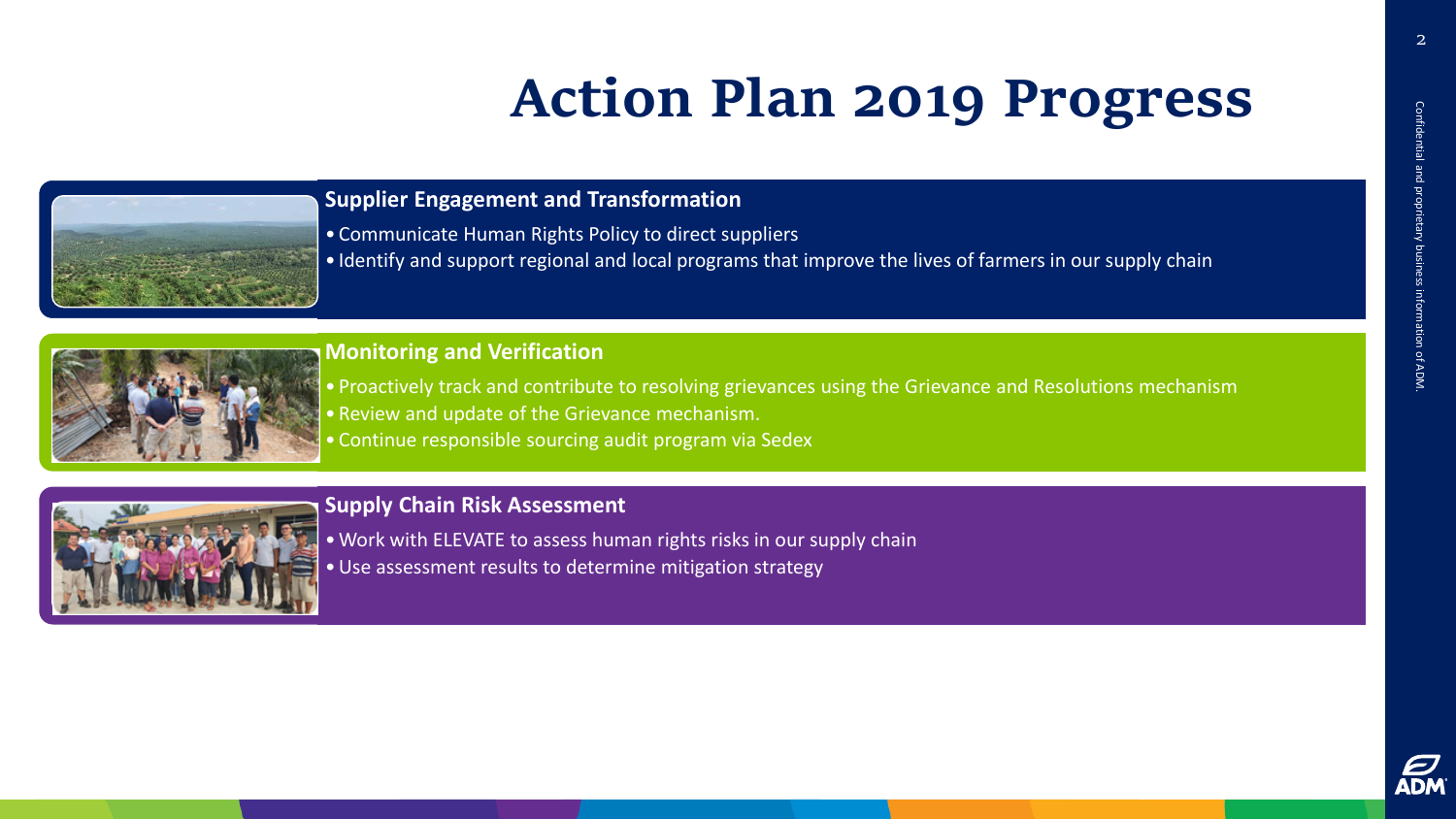## **Action Plan 2019 Progress**



### **Supplier Engagement and Transformation**

- Communicate Human Rights Policy to direct suppliers
- Identify and support regional and local programs that improve the lives of farmers in our supply chain



### **Monitoring and Verification**

- Proactively track and contribute to resolving grievances using the Grievance and Resolutions mechanism • Review and update of the Grievance mechanism.
- Continue responsible sourcing audit program via Sedex



### **Supply Chain Risk Assessment**

- •Work with ELEVATE to assess human rights risks in our supply chain
- •Use assessment results to determine mitigation strategy

2

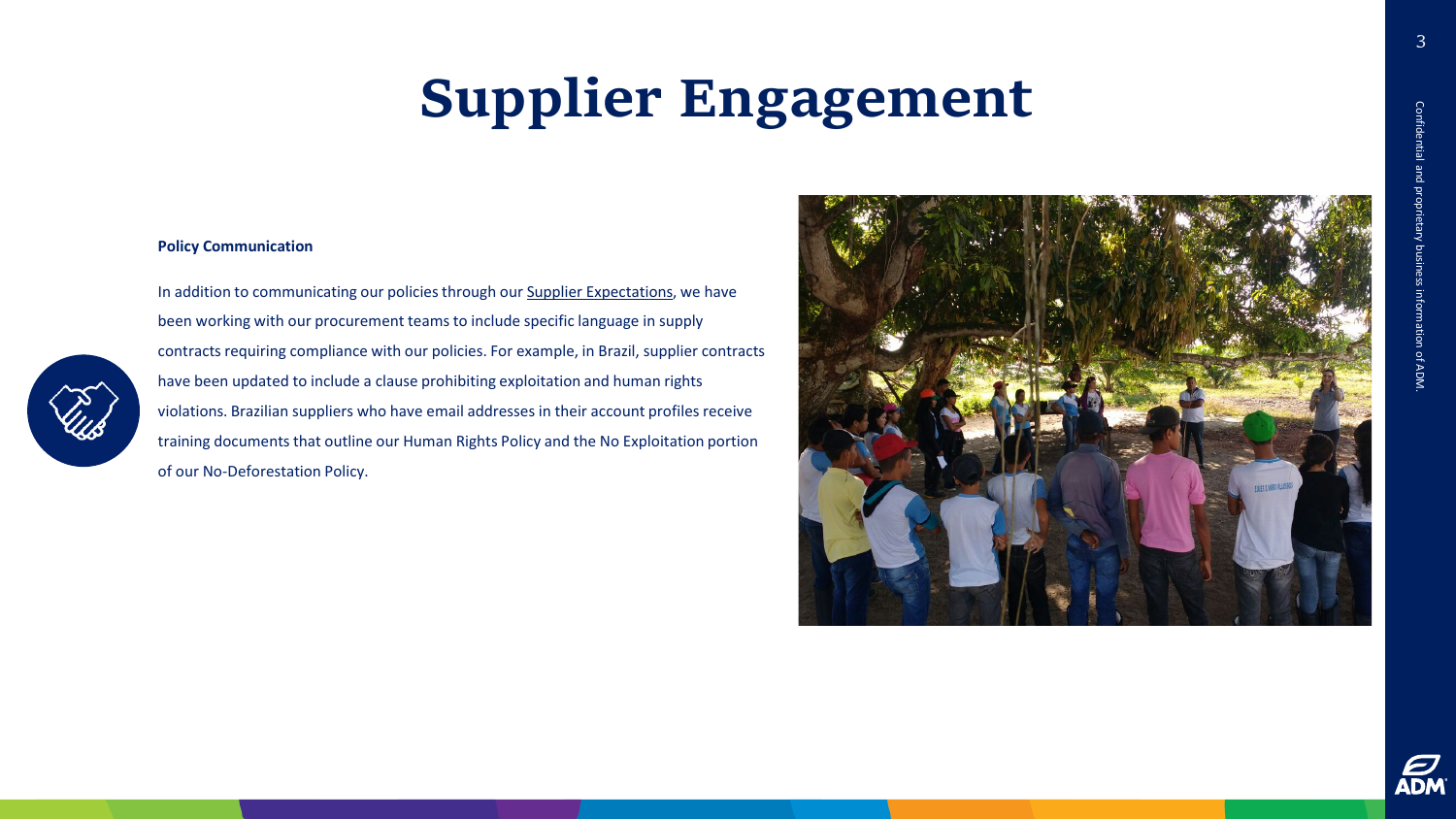## **Supplier Engagement**

#### **Policy Communication**

In addition to communicating our policies through our [Supplier Expectations,](https://www.adm.com/our-company/procurement/supplier-expectations) we have been working with our procurement teams to include specific language in supply contracts requiring compliance with our policies. For example, in Brazil, supplier contracts have been updated to include a clause prohibiting exploitation and human rights violations. Brazilian suppliers who have email addresses in their account profiles receive training documents that outline our Human Rights Policy and the No Exploitation portion of our No -Deforestation Policy.



3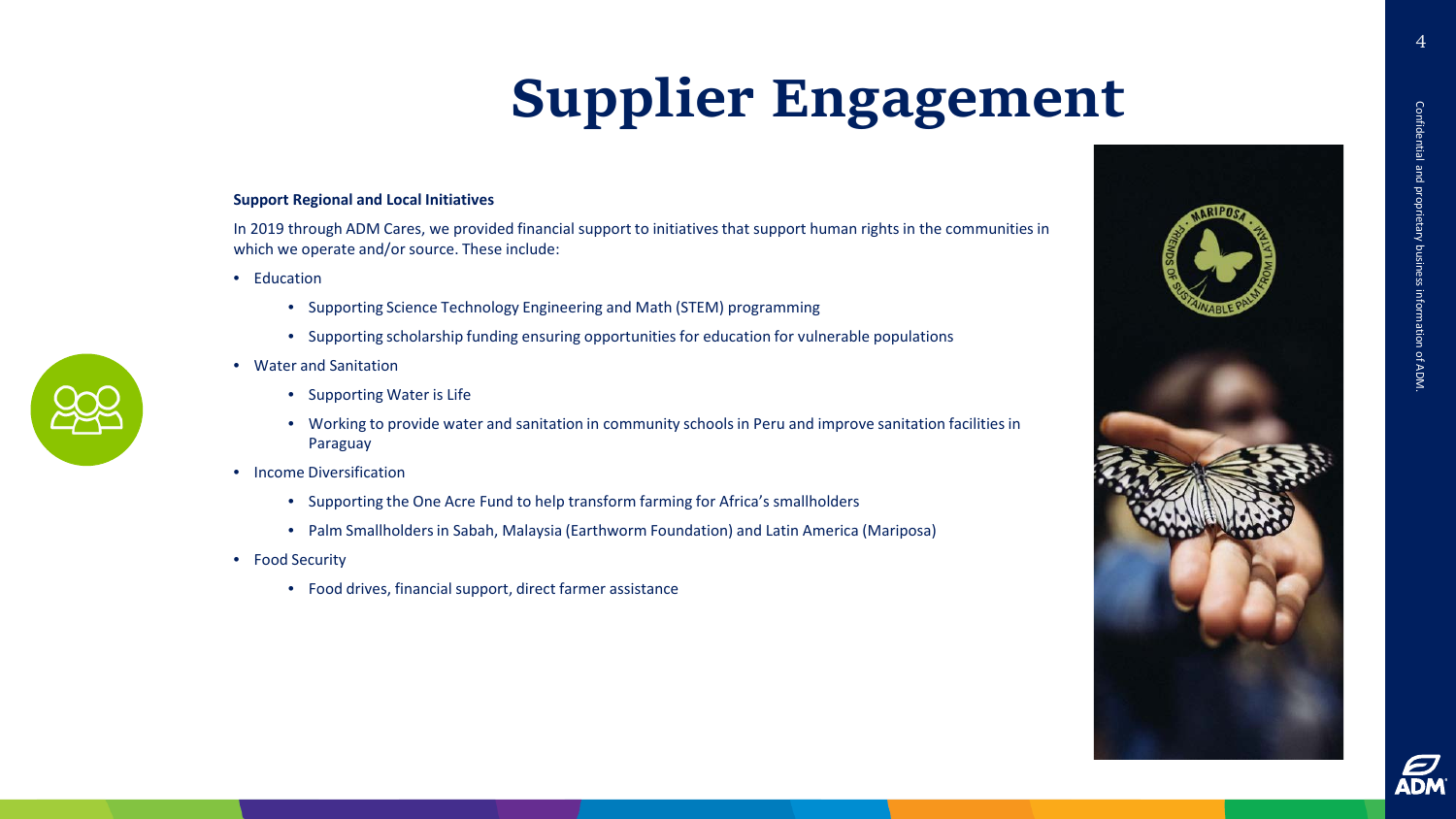# **Supplier Engagement**

#### **Support Regional and Local Initiatives**

In 2019 through ADM Cares, we provided financial support to initiatives that support human rights in the communities in which we operate and/or source. These include:

- Education
	- Supporting Science Technology Engineering and Math (STEM) programming
	- Supporting scholarship funding ensuring opportunities for education for vulnerable populations
- Water and Sanitation
	- Supporting Water is Life
	- Working to provide water and sanitation in community schools in Peru and improve sanitation facilities in Paraguay
- Income Diversification
	- Supporting the One Acre Fund to help transform farming for Africa's smallholders
	- Palm Smallholders in Sabah, Malaysia (Earthworm Foundation) and Latin America (Mariposa)
- Food Security
	- Food drives, financial support, direct farmer assistance



4

Confidential and proprietary business information of ADM.

Confidential and proprietary business information of ADM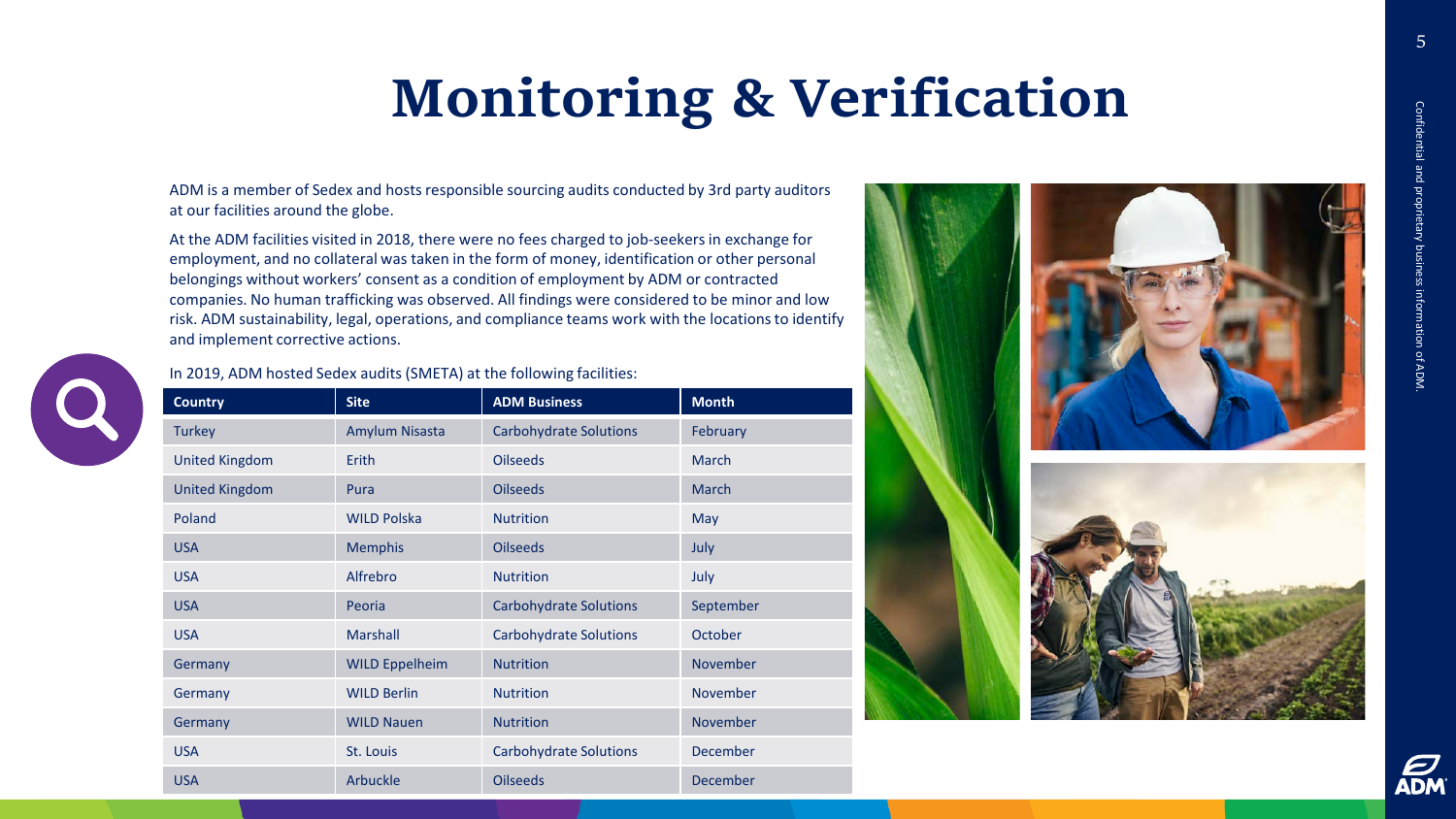5

## **Monitoring & Verification**

ADM is a member of Sedex and hosts responsible sourcing audits conducted by 3rd party auditors at our facilities around the globe.

At the ADM facilities visited in 2018, there were no fees charged to job-seekers in exchange for employment, and no collateral was taken in the form of money, identification or other personal belongings without workers' consent as a condition of employment by ADM or contracted companies. No human trafficking was observed. All findings were considered to be minor and low risk. ADM sustainability, legal, operations, and compliance teams work with the locations to identify and implement corrective actions.



#### In 2019, ADM hosted Sedex audits (SMETA) at the following facilities:

| <b>Country</b>        | <b>Site</b>           | <b>ADM Business</b>           | <b>Month</b>    |
|-----------------------|-----------------------|-------------------------------|-----------------|
| <b>Turkey</b>         | Amylum Nisasta        | <b>Carbohydrate Solutions</b> | February        |
| <b>United Kingdom</b> | Erith                 | <b>Oilseeds</b>               | March           |
| <b>United Kingdom</b> | Pura                  | <b>Oilseeds</b>               | <b>March</b>    |
| Poland                | <b>WILD Polska</b>    | <b>Nutrition</b>              | May             |
| <b>USA</b>            | <b>Memphis</b>        | <b>Oilseeds</b>               | July            |
| <b>USA</b>            | Alfrebro              | <b>Nutrition</b>              | July            |
| <b>USA</b>            | Peoria                | <b>Carbohydrate Solutions</b> | September       |
| <b>USA</b>            | <b>Marshall</b>       | <b>Carbohydrate Solutions</b> | October         |
| Germany               | <b>WILD Eppelheim</b> | <b>Nutrition</b>              | <b>November</b> |
| Germany               | <b>WILD Berlin</b>    | <b>Nutrition</b>              | November        |
| Germany               | <b>WILD Nauen</b>     | <b>Nutrition</b>              | November        |
| <b>USA</b>            | St. Louis             | <b>Carbohydrate Solutions</b> | <b>December</b> |
| <b>USA</b>            | Arbuckle              | <b>Oilseeds</b>               | December        |



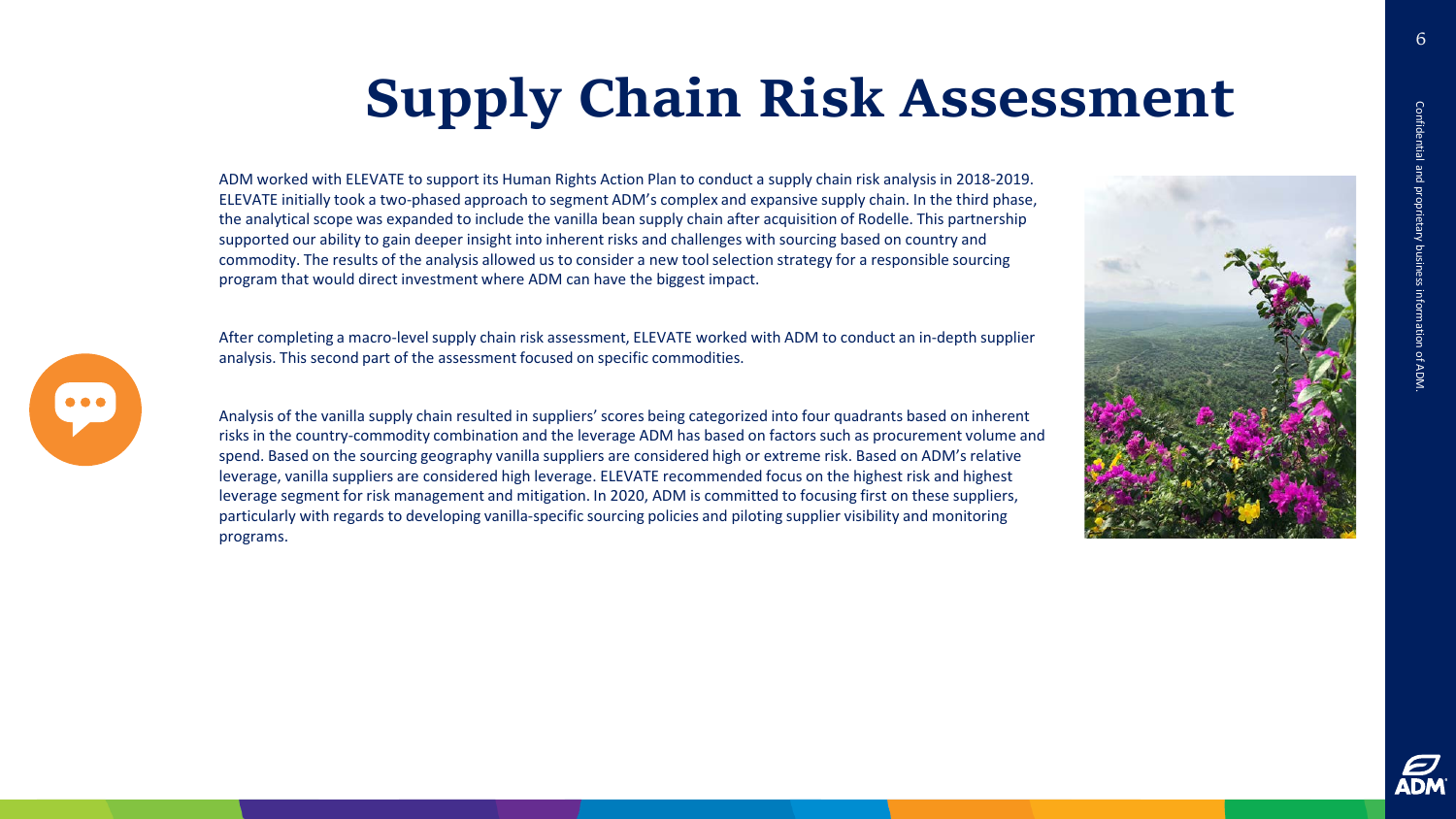## **Supply Chain Risk Assessment**

ADM worked with ELEVATE to support its Human Rights Action Plan to conduct a supply chain risk analysis in 2018-2019. ELEVATE initially took a two-phased approach to segment ADM's complex and expansive supply chain. In the third phase, the analytical scope was expanded to include the vanilla bean supply chain after acquisition of Rodelle. This partnership supported our ability to gain deeper insight into inherent risks and challenges with sourcing based on country and commodity. The results of the analysis allowed us to consider a new tool selection strategy for a responsible sourcing program that would direct investment where ADM can have the biggest impact.

After completing a macro-level supply chain risk assessment, ELEVATE worked with ADM to conduct an in-depth supplier analysis. This second part of the assessment focused on specific commodities.

Analysis of the vanilla supply chain resulted in suppliers' scores being categorized into four quadrants based on inherent risks in the country-commodity combination and the leverage ADM has based on factors such as procurement volume and spend. Based on the sourcing geography vanilla suppliers are considered high or extreme risk. Based on ADM's relative leverage, vanilla suppliers are considered high leverage. ELEVATE recommended focus on the highest risk and highest leverage segment for risk management and mitigation. In 2020, ADM is committed to focusing first on these suppliers, particularly with regards to developing vanilla-specific sourcing policies and piloting supplier visibility and monitoring programs.







Confidential and proprietary business information of ADM.

information of ADM

Confidential and propr